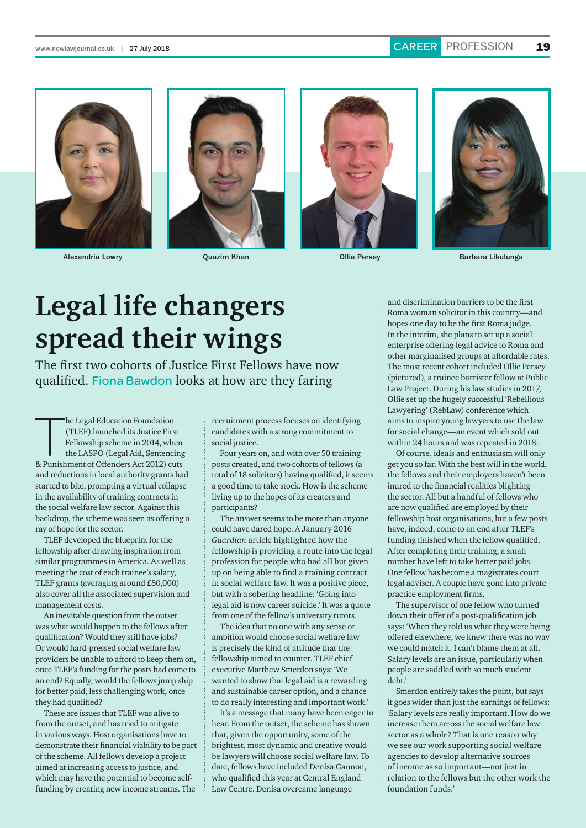







Alexandria Lowry Quazim Khan Ollie Persey Barbara Likulunga

## **Legal life changers spread their wings**

The first two cohorts of Justice First Fellows have now qualified. Fiona Bawdon looks at how are they faring

he Legal Education Foundation<br>
(TLEF) launched its Justice First<br>
Fellowship scheme in 2014, when<br>
the LASPO (Legal Aid, Sentencing<br>
& Punishment of Offenders Act 2012) cuts he Legal Education Foundation (TLEF) launched its Justice First Fellowship scheme in 2014, when the LASPO (Legal Aid, Sentencing and reductions in local authority grants had started to bite, prompting a virtual collapse in the availability of training contracts in the social welfare law sector. Against this backdrop, the scheme was seen as offering a ray of hope for the sector.

TLEF developed the blueprint for the fellowship after drawing inspiration from similar programmes in America. As well as meeting the cost of each trainee's salary, TLEF grants (averaging around £80,000) also cover all the associated supervision and management costs.

An inevitable question from the outset was what would happen to the fellows after qualification? Would they still have jobs? Or would hard-pressed social welfare law providers be unable to afford to keep them on, once TLEF's funding for the posts had come to an end? Equally, would the fellows jump ship for better paid, less challenging work, once they had qualified?

These are issues that TLEF was alive to from the outset, and has tried to mitigate in various ways. Host organisations have to demonstrate their financial viability to be part of the scheme. All fellows develop a project aimed at increasing access to justice, and which may have the potential to become selffunding by creating new income streams. The

recruitment process focuses on identifying candidates with a strong commitment to social justice.

Four years on, and with over 50 training posts created, and two cohorts of fellows (a total of 18 solicitors) having qualified, it seems a good time to take stock. How is the scheme living up to the hopes of its creators and participants?

The answer seems to be more than anyone could have dared hope. A January 2016 *Guardian* article highlighted how the fellowship is providing a route into the legal profession for people who had all but given up on being able to find a training contract in social welfare law. It was a positive piece, but with a sobering headline: 'Going into legal aid is now career suicide.' It was a quote from one of the fellow's university tutors.

The idea that no one with any sense or ambition would choose social welfare law is precisely the kind of attitude that the fellowship aimed to counter. TLEF chief executive Matthew Smerdon says: 'We wanted to show that legal aid is a rewarding and sustainable career option, and a chance to do really interesting and important work.'

It's a message that many have been eager to hear. From the outset, the scheme has shown that, given the opportunity, some of the brightest, most dynamic and creative wouldbe lawyers will choose social welfare law. To date, fellows have included Denisa Gannon, who qualified this year at Central England Law Centre. Denisa overcame language

and discrimination barriers to be the first Roma woman solicitor in this country—and hopes one day to be the first Roma judge. In the interim, she plans to set up a social enterprise offering legal advice to Roma and other marginalised groups at affordable rates. The most recent cohort included Ollie Persey (pictured), a trainee barrister fellow at Public Law Project. During his law studies in 2017, Ollie set up the hugely successful 'Rebellious Lawyering' (RebLaw) conference which aims to inspire young lawyers to use the law for social change—an event which sold out within 24 hours and was repeated in 2018.

Of course, ideals and enthusiasm will only get you so far. With the best will in the world, the fellows and their employers haven't been inured to the financial realities blighting the sector. All but a handful of fellows who are now qualified are employed by their fellowship host organisations, but a few posts have, indeed, come to an end after TLEF's funding finished when the fellow qualified. After completing their training, a small number have left to take better paid jobs. One fellow has become a magistrates court legal adviser. A couple have gone into private practice employment firms.

The supervisor of one fellow who turned down their offer of a post-qualification job says: 'When they told us what they were being offered elsewhere, we knew there was no way we could match it. I can't blame them at all. Salary levels are an issue, particularly when people are saddled with so much student debt.'

Smerdon entirely takes the point, but says it goes wider than just the earnings of fellows: 'Salary levels are really important. How do we increase them across the social welfare law sector as a whole? That is one reason why we see our work supporting social welfare agencies to develop alternative sources of income as so important—not just in relation to the fellows but the other work the foundation funds.'